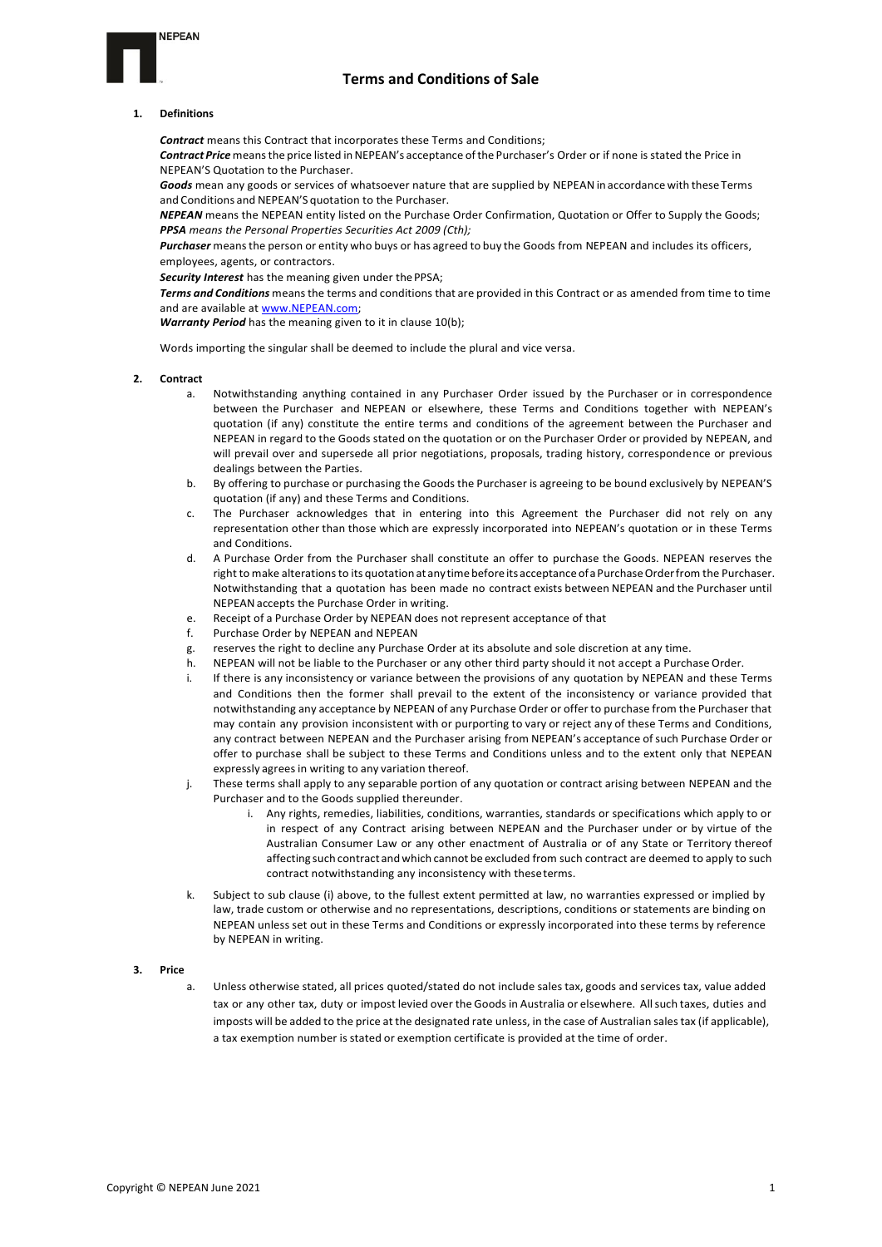## **NEPEAN**

## **Terms and Conditions of Sale**

### **1. Definitions**

*Contract* means this Contract that incorporates these Terms and Conditions; *Contract Price*meansthe price listed inNEPEAN's acceptance ofthe Purchaser's Order or if none is stated the Price in NEPEAN'S Quotation to the Purchaser.

*Goods* mean any goods or services of whatsoever nature that are supplied by NEPEAN in accordance with these Terms and Conditions and NEPEAN'S quotation to the Purchaser.

*NEPEAN* means the NEPEAN entity listed on the Purchase Order Confirmation, Quotation or Offer to Supply the Goods; *PPSA means the Personal Properties Securities Act 2009 (Cth);*

*Purchaser* meansthe person or entity who buys or has agreed to buy the Goods from NEPEAN and includes its officers, employees, agents, or contractors.

*Security Interest* has the meaning given under thePPSA;

*Terms and Conditions* meansthe terms and conditions that are provided in this Contract or as amended from time to time and are available at www.NEPEAN.com;

*Warranty Period* has the meaning given to it in clause 10(b);

Words importing the singular shall be deemed to include the plural and vice versa.

- **2. Contract**
	- Notwithstanding anything contained in any Purchaser Order issued by the Purchaser or in correspondence between the Purchaser and NEPEAN or elsewhere, these Terms and Conditions together with NEPEAN's quotation (if any) constitute the entire terms and conditions of the agreement between the Purchaser and NEPEAN in regard to the Goods stated on the quotation or on the Purchaser Order or provided by NEPEAN, and will prevail over and supersede all prior negotiations, proposals, trading history, correspondence or previous dealings between the Parties.
	- b. By offering to purchase or purchasing the Goods the Purchaser is agreeing to be bound exclusively by NEPEAN'S quotation (if any) and these Terms and Conditions.
	- c. The Purchaser acknowledges that in entering into this Agreement the Purchaser did not rely on any representation other than those which are expressly incorporated into NEPEAN's quotation or in these Terms and Conditions.
	- d. A Purchase Order from the Purchaser shall constitute an offer to purchase the Goods. NEPEAN reserves the right to make alterations to its quotation at any time before its acceptance of a Purchase Order from the Purchaser. Notwithstanding that a quotation has been made no contract exists between NEPEAN and the Purchaser until NEPEANaccepts the Purchase Order in writing.
	- e. Receipt of a Purchase Order by NEPEAN does not represent acceptance of that
	- f. Purchase Order by NEPEAN and NEPEAN
	- g. reserves the right to decline any Purchase Order at its absolute and sole discretion at any time.
	- h. NEPEAN will not be liable to the Purchaser or any other third party should it not accept a Purchase Order.
	- i. If there is any inconsistency or variance between the provisions of any quotation by NEPEAN and these Terms and Conditions then the former shall prevail to the extent of the inconsistency or variance provided that notwithstanding any acceptance by NEPEAN of any Purchase Order or offer to purchase from the Purchaser that may contain any provision inconsistent with or purporting to vary or reject any of these Terms and Conditions, any contract between NEPEAN and the Purchaser arising from NEPEAN's acceptance ofsuch Purchase Order or offer to purchase shall be subject to these Terms and Conditions unless and to the extent only that NEPEAN expressly agrees in writing to any variation thereof.
	- j. These terms shall apply to any separable portion of any quotation or contract arising between NEPEAN and the Purchaser and to the Goods supplied thereunder.
		- Any rights, remedies, liabilities, conditions, warranties, standards or specifications which apply to or in respect of any Contract arising between NEPEAN and the Purchaser under or by virtue of the Australian Consumer Law or any other enactment of Australia or of any State or Territory thereof affecting such contract and which cannot be excluded from such contract are deemed to apply to such contract notwithstanding any inconsistency with theseterms.
	- k. Subject to sub clause (i) above, to the fullest extent permitted at law, no warranties expressed or implied by law, trade custom or otherwise and no representations, descriptions, conditions or statements are binding on NEPEAN unless set out in these Terms and Conditions or expressly incorporated into these terms by reference by NEPEAN in writing.

### **3. Price**

a. Unless otherwise stated, all prices quoted/stated do not include sales tax, goods and services tax, value added tax or any other tax, duty or impost levied over the Goodsin Australia or elsewhere. Allsuch taxes, duties and imposts will be added to the price at the designated rate unless, in the case of Australian sales tax (if applicable), a tax exemption number is stated or exemption certificate is provided at the time of order.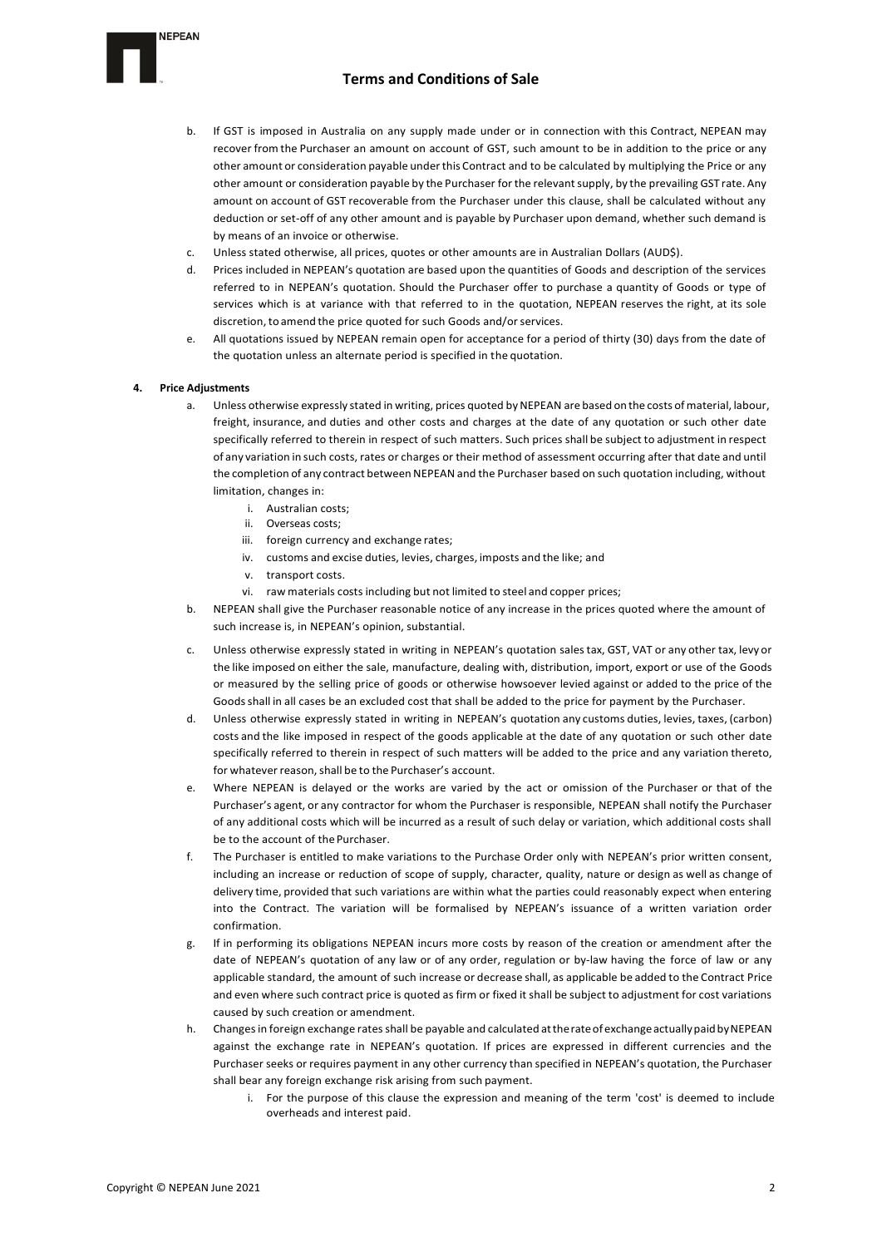

- b. If GST is imposed in Australia on any supply made under or in connection with this Contract, NEPEAN may recover from the Purchaser an amount on account of GST, such amount to be in addition to the price or any other amount or consideration payable underthis Contract and to be calculated by multiplying the Price or any other amount or consideration payable by the Purchaser for the relevantsupply, by the prevailing GST rate. Any amount on account of GST recoverable from the Purchaser under this clause, shall be calculated without any deduction or set-off of any other amount and is payable by Purchaser upon demand, whether such demand is by means of an invoice or otherwise.
- c. Unless stated otherwise, all prices, quotes or other amounts are in Australian Dollars (AUD\$).
- d. Prices included in NEPEAN's quotation are based upon the quantities of Goods and description of the services referred to in NEPEAN's quotation. Should the Purchaser offer to purchase a quantity of Goods or type of services which is at variance with that referred to in the quotation, NEPEAN reserves the right, at its sole discretion, to amend the price quoted for such Goods and/or services.
- All quotations issued by NEPEAN remain open for acceptance for a period of thirty (30) days from the date of the quotation unless an alternate period is specified in the quotation.

### **4. Price Adjustments**

- a. Unless otherwise expressly stated in writing, prices quoted by NEPEAN are based on the costs of material, labour, freight, insurance, and duties and other costs and charges at the date of any quotation or such other date specifically referred to therein in respect of such matters. Such prices shall be subject to adjustment in respect of any variation in such costs, rates or charges or their method of assessment occurring after that date and until the completion of any contract between NEPEAN and the Purchaser based on such quotation including, without limitation, changes in:
	- i. Australian costs;
	- ii. Overseas costs;
	- iii. foreign currency and exchange rates;
	- iv. customs and excise duties, levies, charges, imposts and the like; and
	- v. transport costs.
	- vi. raw materials costs including but not limited to steel and copper prices;
- b. NEPEAN shall give the Purchaser reasonable notice of any increase in the prices quoted where the amount of such increase is, in NEPEAN's opinion, substantial.
- c. Unless otherwise expressly stated in writing in NEPEAN's quotation salestax, GST, VAT or any other tax, levy or the like imposed on either the sale, manufacture, dealing with, distribution, import, export or use of the Goods or measured by the selling price of goods or otherwise howsoever levied against or added to the price of the Goodsshall in all cases be an excluded cost that shall be added to the price for payment by the Purchaser.
- d. Unless otherwise expressly stated in writing in NEPEAN's quotation any customs duties, levies, taxes, (carbon) costs and the like imposed in respect of the goods applicable at the date of any quotation or such other date specifically referred to therein in respect of such matters will be added to the price and any variation thereto, for whatever reason, shall be to the Purchaser's account.
- e. Where NEPEAN is delayed or the works are varied by the act or omission of the Purchaser or that of the Purchaser's agent, or any contractor for whom the Purchaser is responsible, NEPEAN shall notify the Purchaser of any additional costs which will be incurred as a result of such delay or variation, which additional costs shall be to the account of the Purchaser.
- f. The Purchaser is entitled to make variations to the Purchase Order only with NEPEAN's prior written consent, including an increase or reduction of scope of supply, character, quality, nature or design as well as change of delivery time, provided that such variations are within what the parties could reasonably expect when entering into the Contract. The variation will be formalised by NEPEAN's issuance of a written variation order confirmation.
- g. If in performing its obligations NEPEAN incurs more costs by reason of the creation or amendment after the date of NEPEAN's quotation of any law or of any order, regulation or by-law having the force of law or any applicable standard, the amount of such increase or decrease shall, as applicable be added to the Contract Price and even where such contract price is quoted as firm or fixed it shall be subject to adjustment for cost variations caused by such creation or amendment.
- h. Changes in foreign exchange rates shall be payable and calculated attherateofexchangeactuallypaidbyNEPEAN against the exchange rate in NEPEAN's quotation. If prices are expressed in different currencies and the Purchaser seeks or requires payment in any other currency than specified in NEPEAN's quotation, the Purchaser shall bear any foreign exchange risk arising from such payment.
	- i. For the purpose of this clause the expression and meaning of the term 'cost' is deemed to include overheads and interest paid.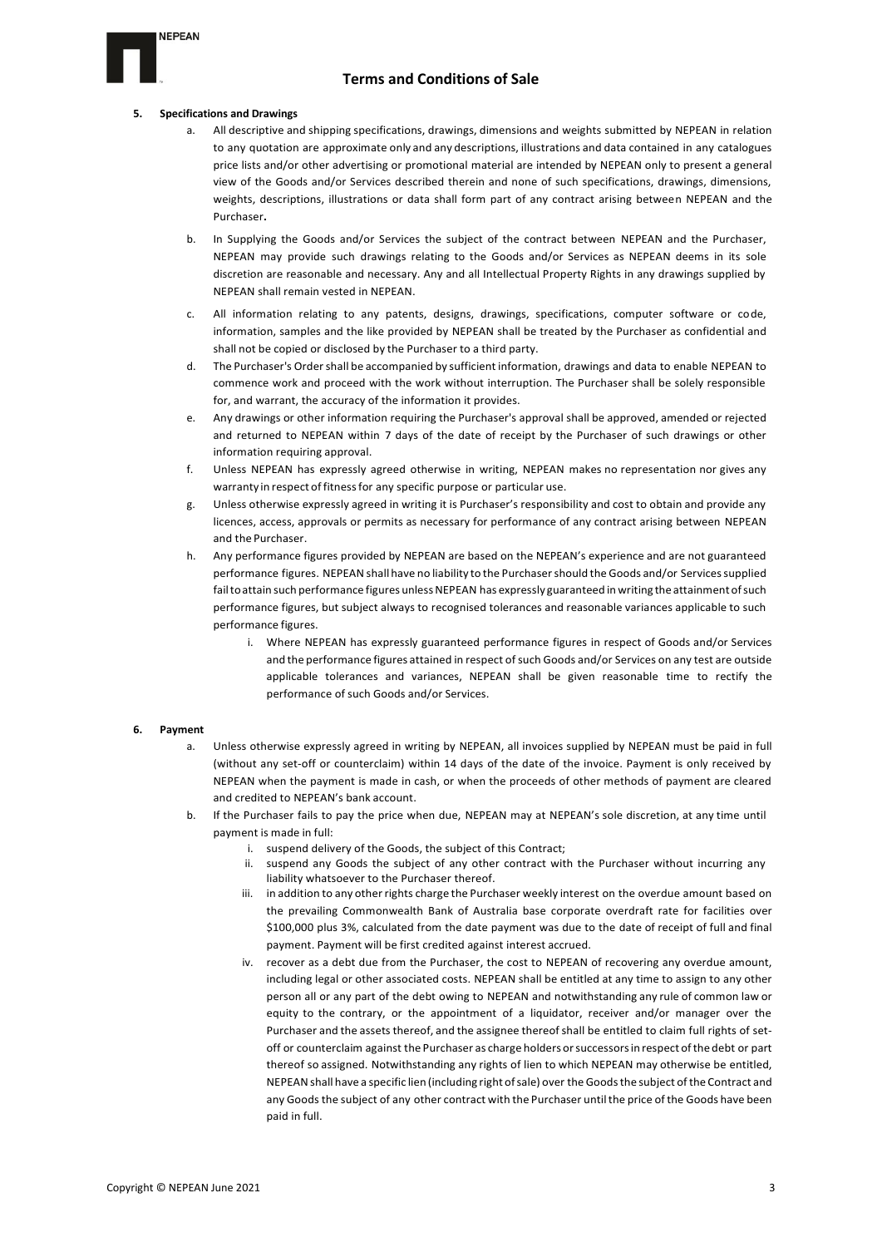

### **5. Specifications and Drawings**

**NEPEAN** 

- a. All descriptive and shipping specifications, drawings, dimensions and weights submitted by NEPEAN in relation to any quotation are approximate only and any descriptions, illustrations and data contained in any catalogues price lists and/or other advertising or promotional material are intended by NEPEAN only to present a general view of the Goods and/or Services described therein and none of such specifications, drawings, dimensions, weights, descriptions, illustrations or data shall form part of any contract arising between NEPEAN and the Purchaser**.**
- b. In Supplying the Goods and/or Services the subject of the contract between NEPEAN and the Purchaser, NEPEAN may provide such drawings relating to the Goods and/or Services as NEPEAN deems in its sole discretion are reasonable and necessary. Any and all Intellectual Property Rights in any drawings supplied by NEPEAN shall remain vested in NEPEAN.
- c. All information relating to any patents, designs, drawings, specifications, computer software or code, information, samples and the like provided by NEPEAN shall be treated by the Purchaser as confidential and shall not be copied or disclosed by the Purchaser to a third party.
- d. The Purchaser's Ordershall be accompanied by sufficient information, drawings and data to enable NEPEAN to commence work and proceed with the work without interruption. The Purchaser shall be solely responsible for, and warrant, the accuracy of the information it provides.
- e. Any drawings or other information requiring the Purchaser's approval shall be approved, amended or rejected and returned to NEPEAN within 7 days of the date of receipt by the Purchaser of such drawings or other information requiring approval.
- f. Unless NEPEAN has expressly agreed otherwise in writing, NEPEAN makes no representation nor gives any warranty in respect of fitness for any specific purpose or particular use.
- g. Unless otherwise expressly agreed in writing it is Purchaser's responsibility and cost to obtain and provide any licences, access, approvals or permits as necessary for performance of any contract arising between NEPEAN and the Purchaser.
- h. Any performance figures provided by NEPEAN are based on the NEPEAN's experience and are not guaranteed performance figures. NEPEAN shall have no liability to the Purchaser should the Goods and/or Services supplied fail to attain such performance figures unless NEPEAN has expressly guaranteed in writing the attainment of such performance figures, but subject always to recognised tolerances and reasonable variances applicable to such performance figures.
	- i. Where NEPEAN has expressly guaranteed performance figures in respect of Goods and/or Services and the performance figures attained in respect of such Goods and/or Services on any test are outside applicable tolerances and variances, NEPEAN shall be given reasonable time to rectify the performance of such Goods and/or Services.

### **6. Payment**

- a. Unless otherwise expressly agreed in writing by NEPEAN, all invoices supplied by NEPEAN must be paid in full (without any set-off or counterclaim) within 14 days of the date of the invoice. Payment is only received by NEPEAN when the payment is made in cash, or when the proceeds of other methods of payment are cleared and credited to NEPEAN's bank account.
- b. If the Purchaser fails to pay the price when due, NEPEAN may at NEPEAN's sole discretion, at any time until payment is made in full:
	- i. suspend delivery of the Goods, the subject of this Contract;
	- ii. suspend any Goods the subject of any other contract with the Purchaser without incurring any liability whatsoever to the Purchaser thereof.
	- iii. in addition to any other rights charge the Purchaser weekly interest on the overdue amount based on the prevailing Commonwealth Bank of Australia base corporate overdraft rate for facilities over \$100,000 plus 3%, calculated from the date payment was due to the date of receipt of full and final payment. Payment will be first credited against interest accrued.
	- iv. recover as a debt due from the Purchaser, the cost to NEPEAN of recovering any overdue amount, including legal or other associated costs. NEPEAN shall be entitled at any time to assign to any other person all or any part of the debt owing to NEPEAN and notwithstanding any rule of common law or equity to the contrary, or the appointment of a liquidator, receiver and/or manager over the Purchaser and the assets thereof, and the assignee thereof shall be entitled to claim full rights of setoff or counterclaim against the Purchaser as charge holders orsuccessorsin respect ofthe debt or part thereof so assigned. Notwithstanding any rights of lien to which NEPEAN may otherwise be entitled, NEPEAN shall have a specific lien (including right of sale) over the Goods the subject of the Contract and any Goods the subject of any other contract with the Purchaser untilthe price ofthe Goods have been paid in full.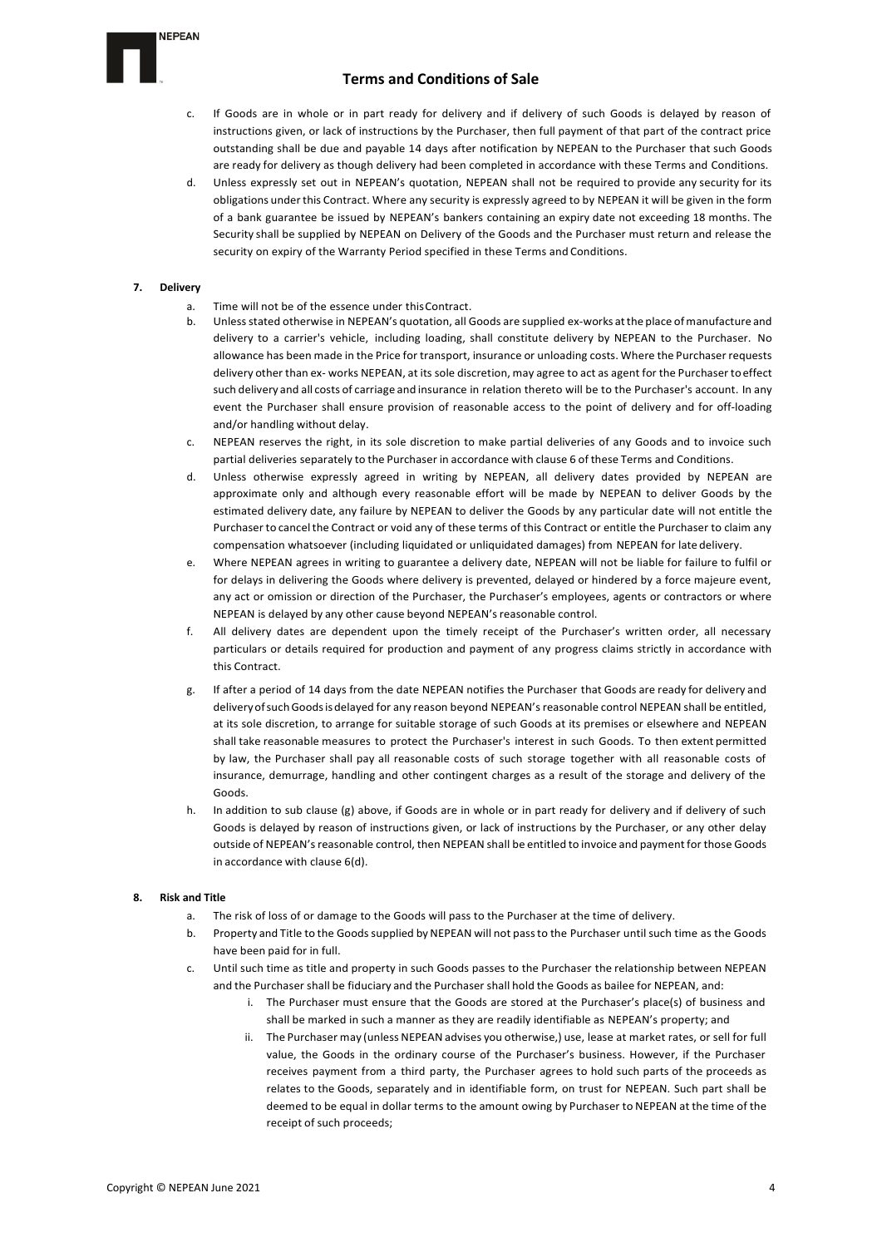

- c. If Goods are in whole or in part ready for delivery and if delivery of such Goods is delayed by reason of instructions given, or lack of instructions by the Purchaser, then full payment of that part of the contract price outstanding shall be due and payable 14 days after notification by NEPEAN to the Purchaser that such Goods are ready for delivery as though delivery had been completed in accordance with these Terms and Conditions.
- d. Unless expressly set out in NEPEAN's quotation, NEPEAN shall not be required to provide any security for its obligations underthis Contract. Where any security is expressly agreed to by NEPEAN it will be given in the form of a bank guarantee be issued by NEPEAN's bankers containing an expiry date not exceeding 18 months. The Security shall be supplied by NEPEAN on Delivery of the Goods and the Purchaser must return and release the security on expiry of the Warranty Period specified in these Terms and Conditions.

### **7. Delivery**

- a. Time will not be of the essence under thisContract.
- b. Unlessstated otherwise in NEPEAN's quotation, all Goods are supplied ex-works atthe place ofmanufacture and delivery to a carrier's vehicle, including loading, shall constitute delivery by NEPEAN to the Purchaser. No allowance has been made in the Price for transport, insurance or unloading costs. Where the Purchaserrequests delivery other than ex- works NEPEAN, at its sole discretion, may agree to act as agent for the Purchasertoeffect such delivery and all costs of carriage and insurance in relation thereto will be to the Purchaser's account. In any event the Purchaser shall ensure provision of reasonable access to the point of delivery and for off-loading and/or handling without delay.
- c. NEPEAN reserves the right, in its sole discretion to make partial deliveries of any Goods and to invoice such partial deliveries separately to the Purchaser in accordance with clause 6 of these Terms and Conditions.
- d. Unless otherwise expressly agreed in writing by NEPEAN, all delivery dates provided by NEPEAN are approximate only and although every reasonable effort will be made by NEPEAN to deliver Goods by the estimated delivery date, any failure by NEPEAN to deliver the Goods by any particular date will not entitle the Purchaser to cancelthe Contract or void any of these terms of this Contract or entitle the Purchaser to claim any compensation whatsoever (including liquidated or unliquidated damages) from NEPEAN for late delivery.
- e. Where NEPEAN agrees in writing to guarantee a delivery date, NEPEAN will not be liable for failure to fulfil or for delays in delivering the Goods where delivery is prevented, delayed or hindered by a force majeure event, any act or omission or direction of the Purchaser, the Purchaser's employees, agents or contractors or where NEPEAN is delayed by any other cause beyond NEPEAN'sreasonable control.
- f. All delivery dates are dependent upon the timely receipt of the Purchaser's written order, all necessary particulars or details required for production and payment of any progress claims strictly in accordance with this Contract.
- g. If after a period of 14 days from the date NEPEAN notifies the Purchaser that Goods are ready for delivery and delivery of such Goods is delayed for any reason beyond NEPEAN's reasonable control NEPEAN shall be entitled, at its sole discretion, to arrange for suitable storage of such Goods at its premises or elsewhere and NEPEAN shall take reasonable measures to protect the Purchaser's interest in such Goods. To then extent permitted by law, the Purchaser shall pay all reasonable costs of such storage together with all reasonable costs of insurance, demurrage, handling and other contingent charges as a result of the storage and delivery of the Goods.
- In addition to sub clause (g) above, if Goods are in whole or in part ready for delivery and if delivery of such Goods is delayed by reason of instructions given, or lack of instructions by the Purchaser, or any other delay outside of NEPEAN'sreasonable control, then NEPEAN shall be entitled to invoice and paymentfor those Goods in accordance with clause 6(d).

## **8. Risk and Title**

- a. The risk of loss of or damage to the Goods will pass to the Purchaser at the time of delivery.
- b. Property and Title to the Goods supplied by NEPEAN will not pass to the Purchaser until such time as the Goods have been paid for in full.
- c. Until such time as title and property in such Goods passes to the Purchaser the relationship between NEPEAN and the Purchaser shall be fiduciary and the Purchaser shall hold the Goods as bailee for NEPEAN, and:
	- i. The Purchaser must ensure that the Goods are stored at the Purchaser's place(s) of business and shall be marked in such a manner as they are readily identifiable as NEPEAN's property; and
	- ii. The Purchaser may (unless NEPEAN advises you otherwise,) use, lease at market rates, or sell for full value, the Goods in the ordinary course of the Purchaser's business. However, if the Purchaser receives payment from a third party, the Purchaser agrees to hold such parts of the proceeds as relates to the Goods, separately and in identifiable form, on trust for NEPEAN. Such part shall be deemed to be equal in dollar terms to the amount owing by Purchaser to NEPEAN at the time of the receipt of such proceeds;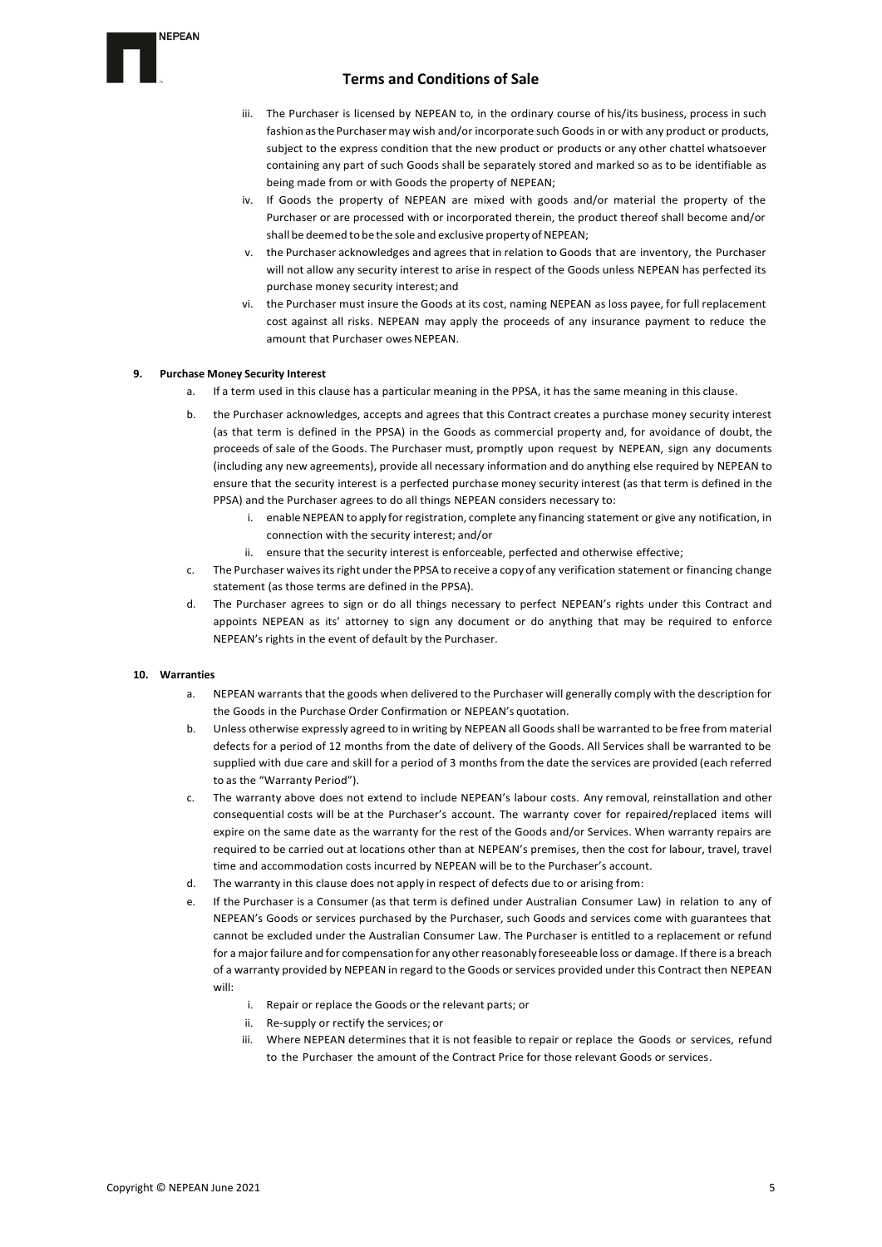- iii. The Purchaser is licensed by NEPEAN to, in the ordinary course of his/its business, process in such fashion as the Purchaser may wish and/or incorporate such Goods in or with any product or products, subject to the express condition that the new product or products or any other chattel whatsoever containing any part of such Goods shall be separately stored and marked so as to be identifiable as being made from or with Goods the property of NEPEAN;
- iv. If Goods the property of NEPEAN are mixed with goods and/or material the property of the Purchaser or are processed with or incorporated therein, the product thereof shall become and/or shall be deemed to be the sole and exclusive property of NEPEAN;
- v. the Purchaser acknowledges and agrees that in relation to Goods that are inventory, the Purchaser will not allow any security interest to arise in respect of the Goods unless NEPEAN has perfected its purchase money security interest;and
- vi. the Purchaser must insure the Goods at its cost, naming NEPEAN as loss payee, for full replacement cost against all risks. NEPEAN may apply the proceeds of any insurance payment to reduce the amount that Purchaser owes NEPEAN.

## **9. Purchase Money Security Interest**

- a. If a term used in this clause has a particular meaning in the PPSA, it has the same meaning in this clause.
- b. the Purchaser acknowledges, accepts and agrees that this Contract creates a purchase money security interest (as that term is defined in the PPSA) in the Goods as commercial property and, for avoidance of doubt, the proceeds of sale of the Goods. The Purchaser must, promptly upon request by NEPEAN, sign any documents (including any new agreements), provide all necessary information and do anything else required by NEPEAN to ensure that the security interest is a perfected purchase money security interest (as that term is defined in the PPSA) and the Purchaser agrees to do all things NEPEAN considers necessary to:
	- i. enable NEPEAN to apply for registration, complete any financing statement or give any notification, in connection with the security interest; and/or
	- ii. ensure that the security interest is enforceable, perfected and otherwise effective;
- c. The Purchaser waives its right under the PPSA to receive a copy of any verification statement or financing change statement (as those terms are defined in the PPSA).
- d. The Purchaser agrees to sign or do all things necessary to perfect NEPEAN's rights under this Contract and appoints NEPEAN as its' attorney to sign any document or do anything that may be required to enforce NEPEAN's rights in the event of default by the Purchaser.

## **10. Warranties**

- a. NEPEAN warrants that the goods when delivered to the Purchaser will generally comply with the description for the Goods in the Purchase Order Confirmation or NEPEAN's quotation.
- b. Unless otherwise expressly agreed to in writing by NEPEAN all Goods shall be warranted to be free from material defects for a period of 12 months from the date of delivery of the Goods. All Services shall be warranted to be supplied with due care and skill for a period of 3 months from the date the services are provided (each referred to as the "Warranty Period").
- c. The warranty above does not extend to include NEPEAN's labour costs. Any removal, reinstallation and other consequential costs will be at the Purchaser's account. The warranty cover for repaired/replaced items will expire on the same date as the warranty for the rest of the Goods and/or Services. When warranty repairs are required to be carried out at locations other than at NEPEAN's premises, then the cost for labour, travel, travel time and accommodation costs incurred by NEPEAN will be to the Purchaser's account.
- d. The warranty in this clause does not apply in respect of defects due to or arising from:
- If the Purchaser is a Consumer (as that term is defined under Australian Consumer Law) in relation to any of NEPEAN's Goods or services purchased by the Purchaser, such Goods and services come with guarantees that cannot be excluded under the Australian Consumer Law. The Purchaser is entitled to a replacement or refund for a major failure and for compensation for any otherreasonably foreseeable loss or damage. If there is a breach of a warranty provided by NEPEAN in regard to the Goods or services provided under this Contract then NEPEAN will:
	- i. Repair or replace the Goods or the relevant parts; or
	- ii. Re-supply or rectify the services; or
	- iii. Where NEPEAN determines that it is not feasible to repair or replace the Goods or services, refund to the Purchaser the amount of the Contract Price for those relevant Goods or services.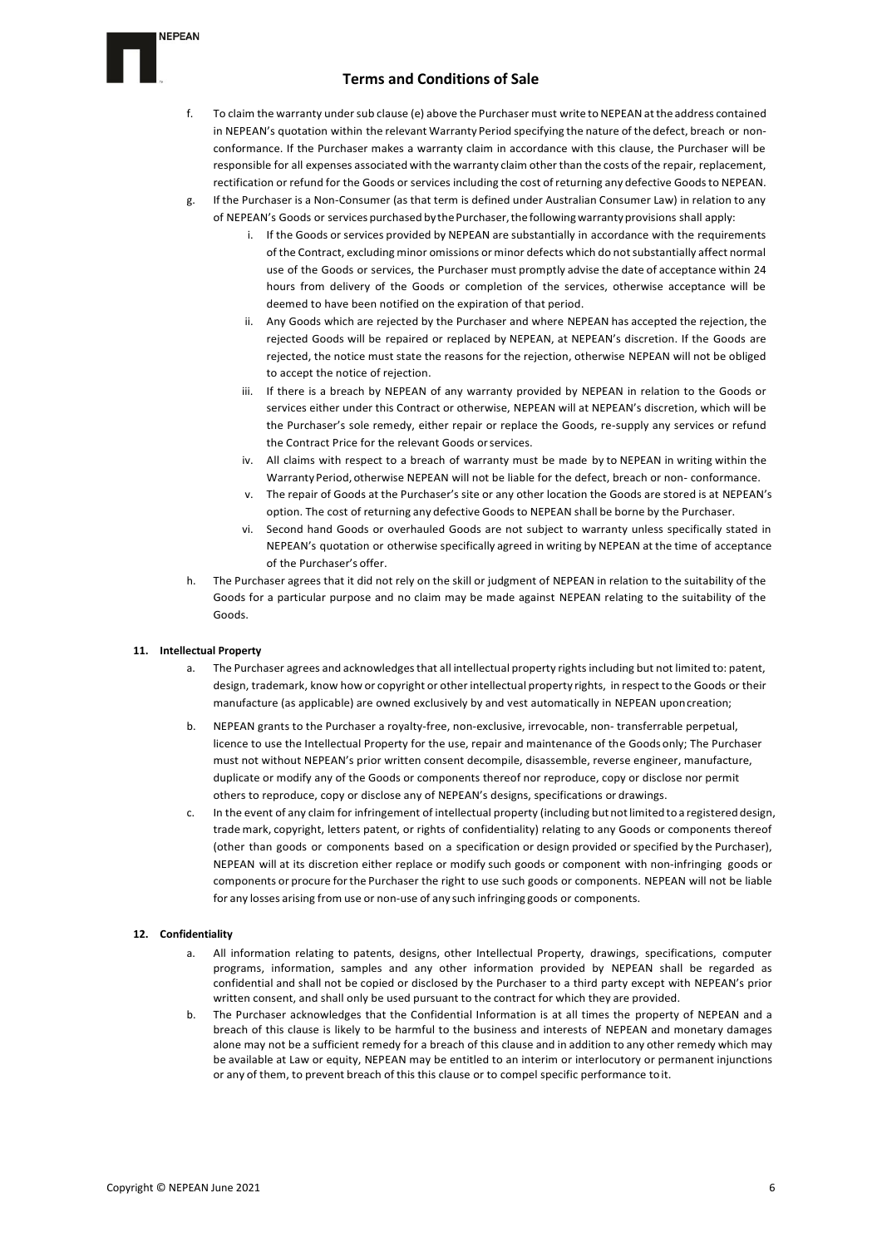- f. To claim the warranty under sub clause (e) above the Purchaser must write toNEPEANatthe address contained in NEPEAN's quotation within the relevant Warranty Period specifying the nature of the defect, breach or nonconformance. If the Purchaser makes a warranty claim in accordance with this clause, the Purchaser will be responsible for all expenses associated with the warranty claim other than the costs of the repair, replacement, rectification or refund for the Goods or services including the cost ofreturning any defective Goodsto NEPEAN.
- g. If the Purchaser is a Non-Consumer (as that term is defined under Australian Consumer Law) in relation to any of NEPEAN's Goods or services purchased by the Purchaser, the following warranty provisions shall apply:
	- i. If the Goods or services provided by NEPEAN are substantially in accordance with the requirements of the Contract, excluding minor omissions or minor defects which do not substantially affect normal use of the Goods or services, the Purchaser must promptly advise the date of acceptance within 24 hours from delivery of the Goods or completion of the services, otherwise acceptance will be deemed to have been notified on the expiration of that period.
	- ii. Any Goods which are rejected by the Purchaser and where NEPEAN has accepted the rejection, the rejected Goods will be repaired or replaced by NEPEAN, at NEPEAN's discretion. If the Goods are rejected, the notice must state the reasons for the rejection, otherwise NEPEAN will not be obliged to accept the notice of rejection.
	- iii. If there is a breach by NEPEAN of any warranty provided by NEPEAN in relation to the Goods or services either under this Contract or otherwise, NEPEAN will at NEPEAN's discretion, which will be the Purchaser's sole remedy, either repair or replace the Goods, re-supply any services or refund the Contract Price for the relevant Goods orservices.
	- iv. All claims with respect to a breach of warranty must be made by to NEPEAN in writing within the Warranty Period, otherwise NEPEAN will not be liable for the defect, breach or non- conformance.
	- v. The repair of Goods at the Purchaser's site or any other location the Goods are stored is at NEPEAN's option. The cost of returning any defective Goods to NEPEAN shall be borne by the Purchaser.
	- vi. Second hand Goods or overhauled Goods are not subject to warranty unless specifically stated in NEPEAN's quotation or otherwise specifically agreed in writing by NEPEAN at the time of acceptance of the Purchaser's offer.
- h. The Purchaser agrees that it did not rely on the skill or judgment of NEPEAN in relation to the suitability of the Goods for a particular purpose and no claim may be made against NEPEAN relating to the suitability of the Goods.

## **11. Intellectual Property**

**NEPEAN** 

- a. The Purchaser agrees and acknowledges that all intellectual property rights including but not limited to: patent, design, trademark, know how or copyright or other intellectual property rights, in respect to the Goods or their manufacture (as applicable) are owned exclusively by and vest automatically in NEPEAN uponcreation;
- b. NEPEAN grants to the Purchaser a royalty-free, non-exclusive, irrevocable, non- transferrable perpetual, licence to use the Intellectual Property for the use, repair and maintenance of the Goods only; The Purchaser must not without NEPEAN's prior written consent decompile, disassemble, reverse engineer, manufacture, duplicate or modify any of the Goods or components thereof nor reproduce, copy or disclose nor permit others to reproduce, copy or disclose any of NEPEAN's designs, specifications or drawings.
- c. In the event of any claim for infringement of intellectual property (including butnotlimited to a registered design, trade mark, copyright, letters patent, or rights of confidentiality) relating to any Goods or components thereof (other than goods or components based on a specification or design provided or specified by the Purchaser), NEPEAN will at its discretion either replace or modify such goods or component with non-infringing goods or components or procure forthe Purchaser the right to use such goods or components. NEPEAN will not be liable for any losses arising from use or non-use of any such infringing goods or components.

## **12. Confidentiality**

- a. All information relating to patents, designs, other Intellectual Property, drawings, specifications, computer programs, information, samples and any other information provided by NEPEAN shall be regarded as confidential and shall not be copied or disclosed by the Purchaser to a third party except with NEPEAN's prior written consent, and shall only be used pursuant to the contract for which they are provided.
- b. The Purchaser acknowledges that the Confidential Information is at all times the property of NEPEAN and a breach of this clause is likely to be harmful to the business and interests of NEPEAN and monetary damages alone may not be a sufficient remedy for a breach of this clause and in addition to any other remedy which may be available at Law or equity, NEPEAN may be entitled to an interim or interlocutory or permanent injunctions or any of them, to prevent breach of this this clause or to compel specific performance toit.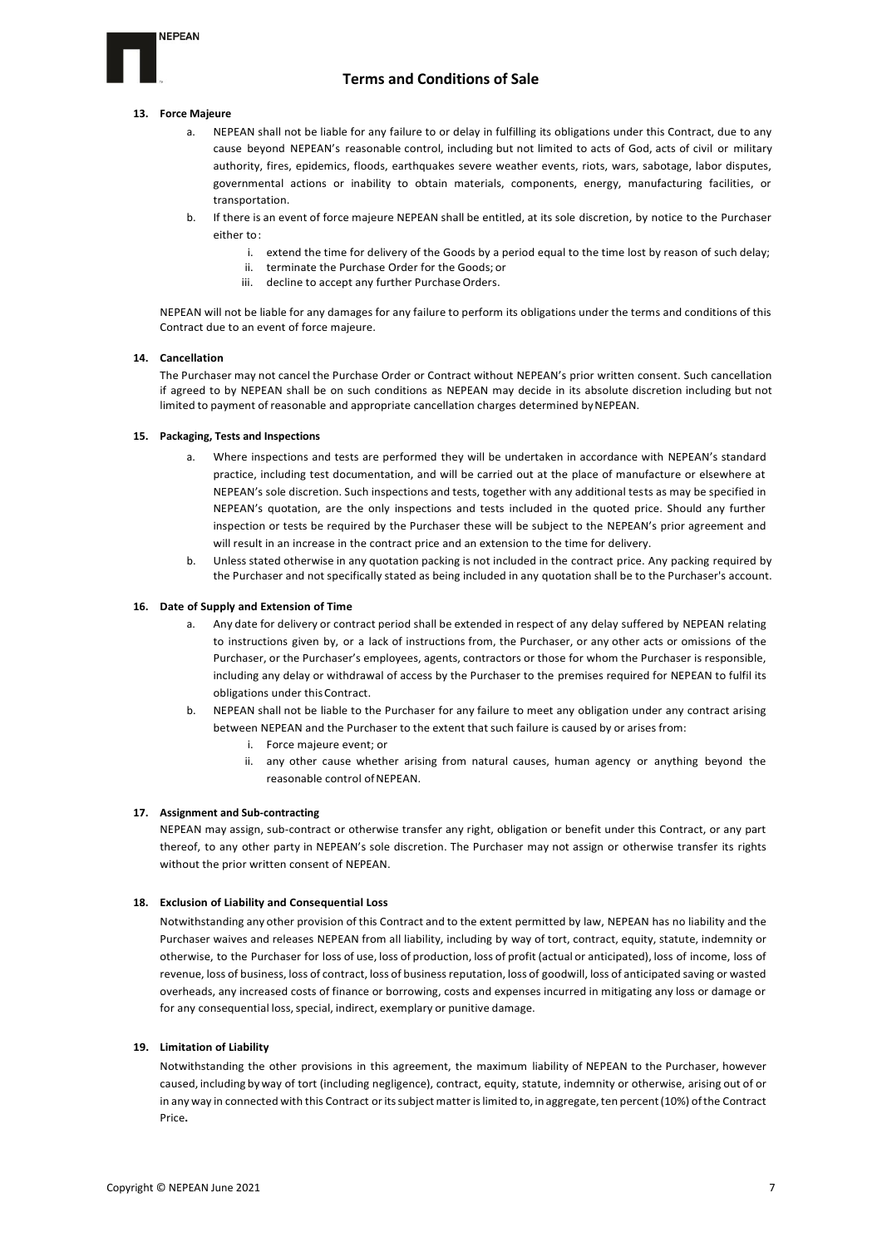

### **13. Force Majeure**

- a. NEPEAN shall not be liable for any failure to or delay in fulfilling its obligations under this Contract, due to any cause beyond NEPEAN's reasonable control, including but not limited to acts of God, acts of civil or military authority, fires, epidemics, floods, earthquakes severe weather events, riots, wars, sabotage, labor disputes, governmental actions or inability to obtain materials, components, energy, manufacturing facilities, or transportation.
- b. If there is an event of force majeure NEPEAN shall be entitled, at its sole discretion, by notice to the Purchaser either to:
	- i. extend the time for delivery of the Goods by a period equal to the time lost by reason of such delay;
	- ii. terminate the Purchase Order for the Goods; or
	- iii. decline to accept any further Purchase Orders.

NEPEAN will not be liable for any damages for any failure to perform its obligations under the terms and conditions of this Contract due to an event of force majeure.

### **14. Cancellation**

The Purchaser may not cancel the Purchase Order or Contract without NEPEAN's prior written consent. Such cancellation if agreed to by NEPEAN shall be on such conditions as NEPEAN may decide in its absolute discretion including but not limited to payment of reasonable and appropriate cancellation charges determined byNEPEAN.

## **15. Packaging, Tests and Inspections**

- a. Where inspections and tests are performed they will be undertaken in accordance with NEPEAN's standard practice, including test documentation, and will be carried out at the place of manufacture or elsewhere at NEPEAN's sole discretion. Such inspections and tests, together with any additional tests as may be specified in NEPEAN's quotation, are the only inspections and tests included in the quoted price. Should any further inspection or tests be required by the Purchaser these will be subject to the NEPEAN's prior agreement and will result in an increase in the contract price and an extension to the time for delivery.
- Unless stated otherwise in any quotation packing is not included in the contract price. Any packing required by the Purchaser and not specifically stated as being included in any quotation shall be to the Purchaser's account.

### **16. Date of Supply and Extension of Time**

- a. Any date for delivery or contract period shall be extended in respect of any delay suffered by NEPEAN relating to instructions given by, or a lack of instructions from, the Purchaser, or any other acts or omissions of the Purchaser, or the Purchaser's employees, agents, contractors or those for whom the Purchaser is responsible, including any delay or withdrawal of access by the Purchaser to the premises required for NEPEAN to fulfil its obligations under thisContract.
- b. NEPEAN shall not be liable to the Purchaser for any failure to meet any obligation under any contract arising between NEPEAN and the Purchaser to the extent that such failure is caused by or arises from:
	- i. Force majeure event; or
	- ii. any other cause whether arising from natural causes, human agency or anything beyond the reasonable control of NEPEAN.

### **17. Assignment and Sub-contracting**

NEPEAN may assign, sub-contract or otherwise transfer any right, obligation or benefit under this Contract, or any part thereof, to any other party in NEPEAN's sole discretion. The Purchaser may not assign or otherwise transfer its rights without the prior written consent of NEPEAN.

## **18. Exclusion of Liability and Consequential Loss**

Notwithstanding any other provision of this Contract and to the extent permitted by law, NEPEAN has no liability and the Purchaser waives and releases NEPEAN from all liability, including by way of tort, contract, equity, statute, indemnity or otherwise, to the Purchaser for loss of use, loss of production, loss of profit (actual or anticipated), loss of income, loss of revenue, loss of business, loss of contract, loss of business reputation, loss of goodwill, loss of anticipated saving or wasted overheads, any increased costs of finance or borrowing, costs and expenses incurred in mitigating any loss or damage or for any consequential loss, special, indirect, exemplary or punitive damage.

## **19. Limitation of Liability**

Notwithstanding the other provisions in this agreement, the maximum liability of NEPEAN to the Purchaser, however caused, including by way of tort (including negligence), contract, equity, statute, indemnity or otherwise, arising out of or in any way in connected with this Contract or its subject matter is limited to, in aggregate, ten percent (10%) of the Contract Price**.**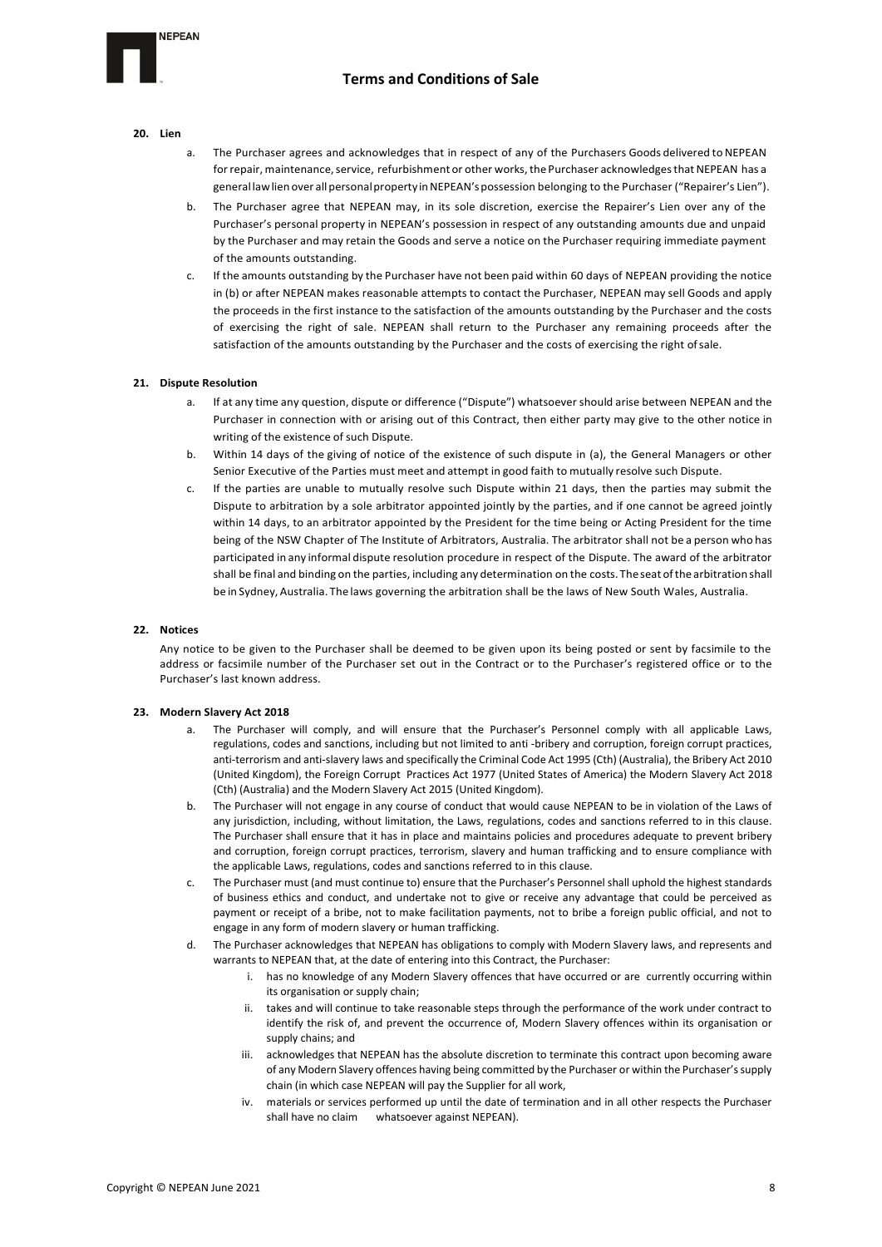### **20. Lien**

**NEPEAN** 

- a. The Purchaser agrees and acknowledges that in respect of any of the Purchasers Goods delivered to NEPEAN for repair, maintenance, service, refurbishment or other works, the Purchaser acknowledges that NEPEAN has a generallawlien over allpersonalproperty inNEPEAN'spossession belonging to the Purchaser ("Repairer's Lien").
- The Purchaser agree that NEPEAN may, in its sole discretion, exercise the Repairer's Lien over any of the Purchaser's personal property in NEPEAN's possession in respect of any outstanding amounts due and unpaid by the Purchaser and may retain the Goods and serve a notice on the Purchaser requiring immediate payment of the amounts outstanding.
- c. If the amounts outstanding by the Purchaser have not been paid within 60 days of NEPEAN providing the notice in (b) or after NEPEAN makes reasonable attempts to contact the Purchaser, NEPEAN may sell Goods and apply the proceeds in the first instance to the satisfaction of the amounts outstanding by the Purchaser and the costs of exercising the right of sale. NEPEAN shall return to the Purchaser any remaining proceeds after the satisfaction of the amounts outstanding by the Purchaser and the costs of exercising the right ofsale.

### **21. Dispute Resolution**

- a. If at any time any question, dispute or difference ("Dispute") whatsoever should arise between NEPEAN and the Purchaser in connection with or arising out of this Contract, then either party may give to the other notice in writing of the existence of such Dispute.
- b. Within 14 days of the giving of notice of the existence of such dispute in (a), the General Managers or other Senior Executive of the Parties must meet and attempt in good faith to mutually resolve such Dispute.
- If the parties are unable to mutually resolve such Dispute within 21 days, then the parties may submit the Dispute to arbitration by a sole arbitrator appointed jointly by the parties, and if one cannot be agreed jointly within 14 days, to an arbitrator appointed by the President for the time being or Acting President for the time being of the NSW Chapter of The Institute of Arbitrators, Australia. The arbitrator shall not be a person who has participated in any informal dispute resolution procedure in respect of the Dispute. The award of the arbitrator shall be final and binding on the parties, including any determination on the costs.The seat ofthe arbitration shall be in Sydney, Australia. The laws governing the arbitration shall be the laws of New South Wales, Australia.

### **22. Notices**

Any notice to be given to the Purchaser shall be deemed to be given upon its being posted or sent by facsimile to the address or facsimile number of the Purchaser set out in the Contract or to the Purchaser's registered office or to the Purchaser's last known address.

### **23. Modern Slavery Act 2018**

- a. The Purchaser will comply, and will ensure that the Purchaser's Personnel comply with all applicable Laws, regulations, codes and sanctions, including but not limited to anti -bribery and corruption, foreign corrupt practices, anti-terrorism and anti-slavery laws and specifically the Criminal Code Act 1995 (Cth) (Australia), the Bribery Act 2010 (United Kingdom), the Foreign Corrupt Practices Act 1977 (United States of America) the Modern Slavery Act 2018 (Cth) (Australia) and the Modern Slavery Act 2015 (United Kingdom).
- b. The Purchaser will not engage in any course of conduct that would cause NEPEAN to be in violation of the Laws of any jurisdiction, including, without limitation, the Laws, regulations, codes and sanctions referred to in this clause. The Purchaser shall ensure that it has in place and maintains policies and procedures adequate to prevent bribery and corruption, foreign corrupt practices, terrorism, slavery and human trafficking and to ensure compliance with the applicable Laws, regulations, codes and sanctions referred to in this clause.
- c. The Purchaser must (and must continue to) ensure that the Purchaser's Personnel shall uphold the highest standards of business ethics and conduct, and undertake not to give or receive any advantage that could be perceived as payment or receipt of a bribe, not to make facilitation payments, not to bribe a foreign public official, and not to engage in any form of modern slavery or human trafficking.
- d. The Purchaser acknowledges that NEPEAN has obligations to comply with Modern Slavery laws, and represents and warrants to NEPEAN that, at the date of entering into this Contract, the Purchaser:
	- i. has no knowledge of any Modern Slavery offences that have occurred or are currently occurring within its organisation or supply chain;
	- ii. takes and will continue to take reasonable steps through the performance of the work under contract to identify the risk of, and prevent the occurrence of, Modern Slavery offences within its organisation or supply chains; and
	- iii. acknowledges that NEPEAN has the absolute discretion to terminate this contract upon becoming aware of any Modern Slavery offences having being committed by the Purchaser or within the Purchaser's supply chain (in which case NEPEAN will pay the Supplier for all work,
	- iv. materials or services performed up until the date of termination and in all other respects the Purchaser shall have no claim whatsoever against NEPEAN).